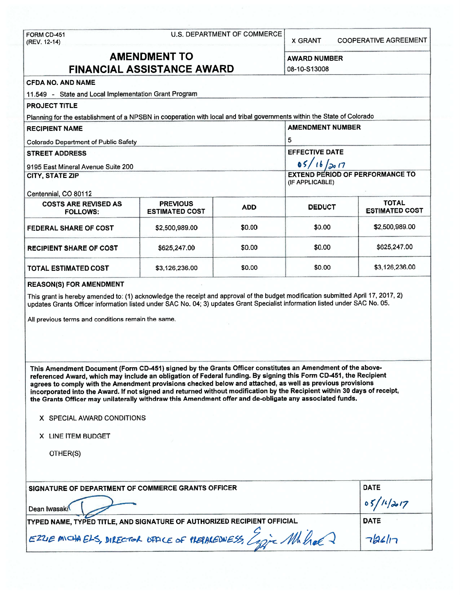| FORM CD-451<br>(REV. 12-14)                                                                                                                                                                                                                                                                                                                                                                                                                                                                                                                                                                                                                                                                                                                                                                                                                                                                                                                                                  | U.S. DEPARTMENT OF COMMERCE                                                                                                                        | <b>COOPERATIVE AGREEMENT</b><br><b>X GRANT</b> |                                        |                                       |  |  |  |  |  |  |
|------------------------------------------------------------------------------------------------------------------------------------------------------------------------------------------------------------------------------------------------------------------------------------------------------------------------------------------------------------------------------------------------------------------------------------------------------------------------------------------------------------------------------------------------------------------------------------------------------------------------------------------------------------------------------------------------------------------------------------------------------------------------------------------------------------------------------------------------------------------------------------------------------------------------------------------------------------------------------|----------------------------------------------------------------------------------------------------------------------------------------------------|------------------------------------------------|----------------------------------------|---------------------------------------|--|--|--|--|--|--|
| <b>AMENDMENT TO</b><br><b>FINANCIAL ASSISTANCE AWARD</b>                                                                                                                                                                                                                                                                                                                                                                                                                                                                                                                                                                                                                                                                                                                                                                                                                                                                                                                     | <b>AWARD NUMBER</b><br>08-10-S13008                                                                                                                |                                                |                                        |                                       |  |  |  |  |  |  |
| <b>CFDA NO. AND NAME</b>                                                                                                                                                                                                                                                                                                                                                                                                                                                                                                                                                                                                                                                                                                                                                                                                                                                                                                                                                     |                                                                                                                                                    |                                                |                                        |                                       |  |  |  |  |  |  |
| 11.549 - State and Local Implementation Grant Program                                                                                                                                                                                                                                                                                                                                                                                                                                                                                                                                                                                                                                                                                                                                                                                                                                                                                                                        |                                                                                                                                                    |                                                |                                        |                                       |  |  |  |  |  |  |
| <b>PROJECT TITLE</b>                                                                                                                                                                                                                                                                                                                                                                                                                                                                                                                                                                                                                                                                                                                                                                                                                                                                                                                                                         |                                                                                                                                                    |                                                |                                        |                                       |  |  |  |  |  |  |
|                                                                                                                                                                                                                                                                                                                                                                                                                                                                                                                                                                                                                                                                                                                                                                                                                                                                                                                                                                              |                                                                                                                                                    |                                                |                                        |                                       |  |  |  |  |  |  |
| <b>RECIPIENT NAME</b>                                                                                                                                                                                                                                                                                                                                                                                                                                                                                                                                                                                                                                                                                                                                                                                                                                                                                                                                                        | Planning for the establishment of a NPSBN in cooperation with local and tribal governments within the State of Colorado<br><b>AMENDMENT NUMBER</b> |                                                |                                        |                                       |  |  |  |  |  |  |
| <b>Colorado Department of Public Safety</b>                                                                                                                                                                                                                                                                                                                                                                                                                                                                                                                                                                                                                                                                                                                                                                                                                                                                                                                                  |                                                                                                                                                    |                                                | 5                                      |                                       |  |  |  |  |  |  |
| <b>STREET ADDRESS</b>                                                                                                                                                                                                                                                                                                                                                                                                                                                                                                                                                                                                                                                                                                                                                                                                                                                                                                                                                        |                                                                                                                                                    |                                                | <b>EFFECTIVE DATE</b>                  |                                       |  |  |  |  |  |  |
|                                                                                                                                                                                                                                                                                                                                                                                                                                                                                                                                                                                                                                                                                                                                                                                                                                                                                                                                                                              |                                                                                                                                                    |                                                | 05/16/2017                             |                                       |  |  |  |  |  |  |
| 9195 East Mineral Avenue Suite 200<br><b>CITY, STATE ZIP</b>                                                                                                                                                                                                                                                                                                                                                                                                                                                                                                                                                                                                                                                                                                                                                                                                                                                                                                                 |                                                                                                                                                    |                                                | <b>EXTEND PERIOD OF PERFORMANCE TO</b> |                                       |  |  |  |  |  |  |
|                                                                                                                                                                                                                                                                                                                                                                                                                                                                                                                                                                                                                                                                                                                                                                                                                                                                                                                                                                              |                                                                                                                                                    |                                                | (IF APPLICABLE)                        |                                       |  |  |  |  |  |  |
| Centennial, CO 80112                                                                                                                                                                                                                                                                                                                                                                                                                                                                                                                                                                                                                                                                                                                                                                                                                                                                                                                                                         |                                                                                                                                                    |                                                |                                        |                                       |  |  |  |  |  |  |
| <b>COSTS ARE REVISED AS</b><br><b>FOLLOWS:</b>                                                                                                                                                                                                                                                                                                                                                                                                                                                                                                                                                                                                                                                                                                                                                                                                                                                                                                                               | <b>PREVIOUS</b><br><b>ESTIMATED COST</b>                                                                                                           | <b>ADD</b>                                     | <b>DEDUCT</b>                          | <b>TOTAL</b><br><b>ESTIMATED COST</b> |  |  |  |  |  |  |
| <b>FEDERAL SHARE OF COST</b>                                                                                                                                                                                                                                                                                                                                                                                                                                                                                                                                                                                                                                                                                                                                                                                                                                                                                                                                                 | \$2,500,989.00                                                                                                                                     | \$0.00                                         | \$0.00                                 | \$2,500,989.00                        |  |  |  |  |  |  |
| <b>RECIPIENT SHARE OF COST</b>                                                                                                                                                                                                                                                                                                                                                                                                                                                                                                                                                                                                                                                                                                                                                                                                                                                                                                                                               | \$625,247.00                                                                                                                                       | \$0.00                                         | \$0.00                                 | \$625,247.00                          |  |  |  |  |  |  |
| <b>TOTAL ESTIMATED COST</b>                                                                                                                                                                                                                                                                                                                                                                                                                                                                                                                                                                                                                                                                                                                                                                                                                                                                                                                                                  | \$3,126,236.00                                                                                                                                     |                                                |                                        |                                       |  |  |  |  |  |  |
| This grant is hereby amended to: (1) acknowledge the receipt and approval of the budget modification submitted April 17, 2017, 2)<br>updates Grants Officer information listed under SAC No. 04; 3) updates Grant Specialist information listed under SAC No. 05.<br>All previous terms and conditions remain the same.<br>This Amendment Document (Form CD-451) signed by the Grants Officer constitutes an Amendment of the above-<br>referenced Award, which may include an obligation of Federal funding. By signing this Form CD-451, the Recipient<br>agrees to comply with the Amendment provisions checked below and attached, as well as previous provisions<br>incorporated into the Award. If not signed and returned without modification by the Recipient within 30 days of receipt,<br>the Grants Officer may unilaterally withdraw this Amendment offer and de-obligate any associated funds.<br>X SPECIAL AWARD CONDITIONS<br>X LINE ITEM BUDGET<br>OTHER(S) |                                                                                                                                                    |                                                |                                        |                                       |  |  |  |  |  |  |
|                                                                                                                                                                                                                                                                                                                                                                                                                                                                                                                                                                                                                                                                                                                                                                                                                                                                                                                                                                              | <b>DATE</b><br>SIGNATURE OF DEPARTMENT OF COMMERCE GRANTS OFFICER<br>05/11/2017                                                                    |                                                |                                        |                                       |  |  |  |  |  |  |
| Dean Iwasaki                                                                                                                                                                                                                                                                                                                                                                                                                                                                                                                                                                                                                                                                                                                                                                                                                                                                                                                                                                 |                                                                                                                                                    | <b>DATE</b>                                    |                                        |                                       |  |  |  |  |  |  |
| TYPED NAME, TYPED TITLE, AND SIGNATURE OF AUTHORIZED RECIPIENT OFFICIAL                                                                                                                                                                                                                                                                                                                                                                                                                                                                                                                                                                                                                                                                                                                                                                                                                                                                                                      |                                                                                                                                                    |                                                |                                        |                                       |  |  |  |  |  |  |
| EZUE MICHAELS, DIRECTOR OFFICE OF PLEPAREDNESS, Capic Mb hel<br>76617                                                                                                                                                                                                                                                                                                                                                                                                                                                                                                                                                                                                                                                                                                                                                                                                                                                                                                        |                                                                                                                                                    |                                                |                                        |                                       |  |  |  |  |  |  |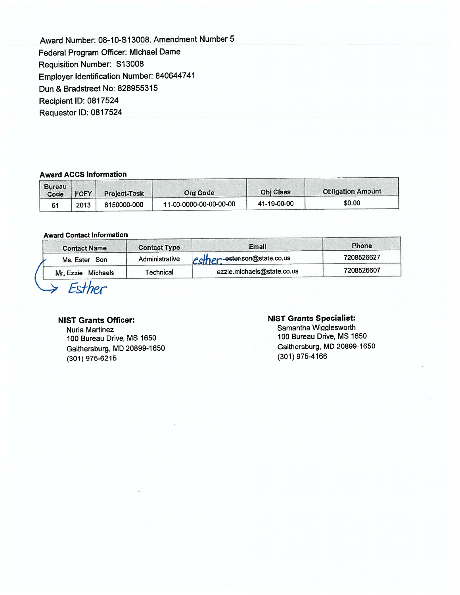Award Number: 08-10-S13008, Amendment Number 5 Federal Program Officer: Michael Dame Requisition Number: S13008 Employer Identification Number: 840644741 Dun & Bradstreet No: 828955315 Recipient ID: 0817524 Requester ID: 0817524

### **Award ACCS Information**

| <b>Bureau</b><br>Code | <b>FCFY</b> | <b>Project-Task</b> | <b>Org Gode</b>        | <b>Obi Class</b> | <b>Obligation Amount</b> |
|-----------------------|-------------|---------------------|------------------------|------------------|--------------------------|
|                       | 2013        | 8150000-000         | 11-00-0000-00-00-00-00 | 41-19-00-00      | \$0.00                   |

### **Award Contact Information**

| <b>Contact Name</b>   | <b>Contact Type</b> | Email                        | Phone      |
|-----------------------|---------------------|------------------------------|------------|
| Ms. Ester Son         | Administrative      | esther ester son@state.co.us | 7208526627 |
| Michaels<br>Mr. Ezzie | <b>Fechnical</b>    | ezzie.michaels@state.co.us   | 7208526607 |

 $S$  Esther

# **NIST Grants Officer:**

Nuria Martinez 100 Bureau Drive, MS 1650 Gaithersburg, MD 20899-1650 (301) 975-6215

### **NIST Grants Specialist:**

Samantha Wigglesworth 100 Bureau Drive, MS 1650 Gaithersburg, MD 20899-1650 (301) 975-4166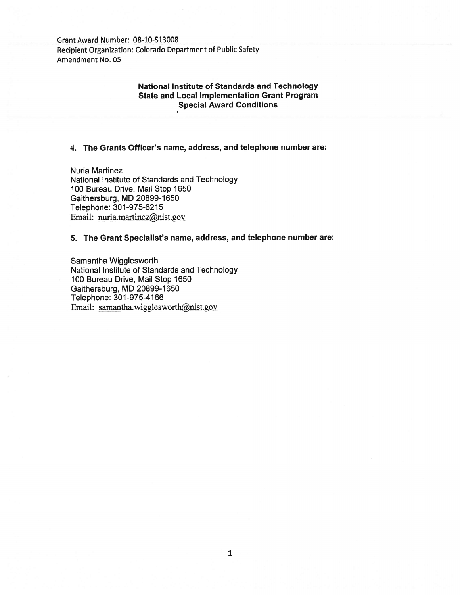Grant Award Number: 08-10-S13008 Recipient Organization: Colorado Department of Public Safety Amendment No. 05

# **National Institute of Standards and Technology State and Local Implementation Grant Program Special Award Conditions**

### **4. The Grants Officer's name, address, and telephone number are:**

Nuria Martinez National Institute of Standards and Technology 100 Bureau Drive, Mail Stop 1650 Gaithersburg, MD 20899-1650 Telephone: 301-975-6215 Email: nuria.martinez@nist.gov

## **5. The Grant Specialist's name, address, and telephone number are:**

Samantha Wigglesworth National Institute of Standards and Technology 100 Bureau Drive, Mail Stop 1650 Gaithersburg, MD 20899-1650 Telephone: 301-975-4166 Email: samantha.wigglesworth@nist.gov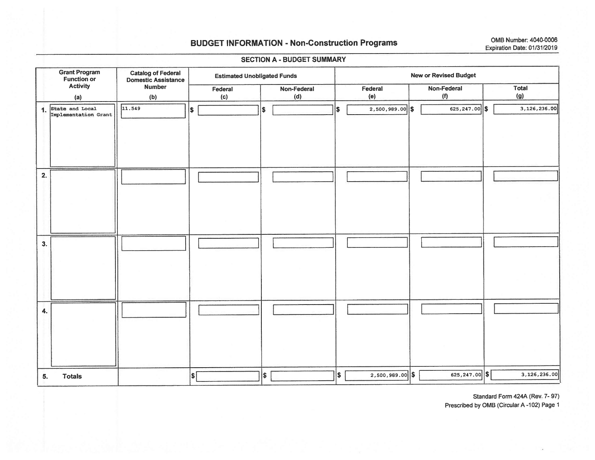## **BUDGET INFORMATION - Non-Construction Programs**

OMB Number: 4040-0006 Expiration Date: 01/31/2019

#### **Grant Program Catalog of Federal** New or Revised Budget **Estimated Unobligated Funds Function or Domestic Assistance Activity Number** Non-Federal Federal Non-Federal **Total** Federal  $(f)$  $(g)$  $(a)$  $(b)$  $(c)$  $(d)$  $(e)$ 1. State and Local  $11.549$ ls. 625,247.00 \$ 3,126,236.00 ls.  $2,500,989.00$  \$  $\vert$ s Implementation Grant  $2.$ 3. 4. ls:  $2,500,989.00$  \$ 625, 247.00 \$ 3,126,236.00  $|\boldsymbol{\mathsf{s}}|$  $\left| \frac{2}{2} \right|$ 5. **Totals**

**SECTION A - BUDGET SUMMARY** 

Standard Form 424A (Rev. 7-97) Prescribed by OMB (Circular A-102) Page 1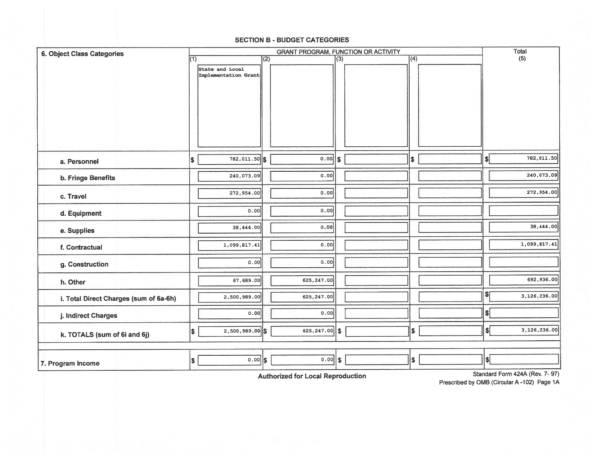| <b>6. Object Class Categories</b>      |     |                                         |     | <b>GRANT PROGRAM, FUNCTION OR ACTIVITY</b> |               |                  |                             | Total        |
|----------------------------------------|-----|-----------------------------------------|-----|--------------------------------------------|---------------|------------------|-----------------------------|--------------|
|                                        | (1) | State and Local<br>Implementation Grant | (2) |                                            | (3)           | $\overline{(4)}$ |                             | (5)          |
| a. Personnel                           | \$  | 782, 011.50 \$                          |     | 0.00                                       | $\mathsf{\$}$ | \$               | \$                          | 782,011.50   |
| b. Fringe Benefits                     |     | 240,073.09                              |     | 0.00                                       |               |                  |                             | 240,073.09   |
| c. Travel                              |     | 272,954.00                              |     | 0.00                                       |               |                  |                             | 272,954.00   |
| d. Equipment                           |     | 0.00                                    |     | 0.00                                       |               |                  |                             |              |
| e. Supplies                            |     | 38,444.00                               |     | 0.00                                       |               |                  |                             | 38,444.00    |
| f. Contractual                         |     | 1,099,817.41                            |     | 0.00                                       |               |                  |                             | 1,099,817.41 |
| g. Construction                        |     | 0.00                                    |     | 0.00                                       |               |                  |                             |              |
| h. Other                               |     | 67,689.00                               |     | 625, 247.00                                |               |                  |                             | 692,936.00   |
| i. Total Direct Charges (sum of 6a-6h) |     | 2,500,989.00                            |     | 625, 247.00                                |               |                  | $\mathsf{S}$                | 3,126,236.00 |
| j. Indirect Charges                    |     | 0.00                                    |     | 0.00                                       |               |                  | $\boldsymbol{s}$            |              |
| k. TOTALS (sum of 6i and 6j)           | \$  | $2,500,989.00$ \$                       |     | $625, 247.00$ \$                           |               | \$               | $\left  \mathbf{s} \right $ | 3,126,236.00 |
| 7. Program Income                      | \$  | $0.00$ \$                               |     | $0.00$ \$                                  |               | \$               | s <sub>i</sub>              |              |

#### **SECTION B - BUDGET CATEGORIES**

**Authorized for Local Reproduction** 

Standard Form 424A (Rev. 7-97)

Prescribed by OMB (Circular A-102) Page 1A